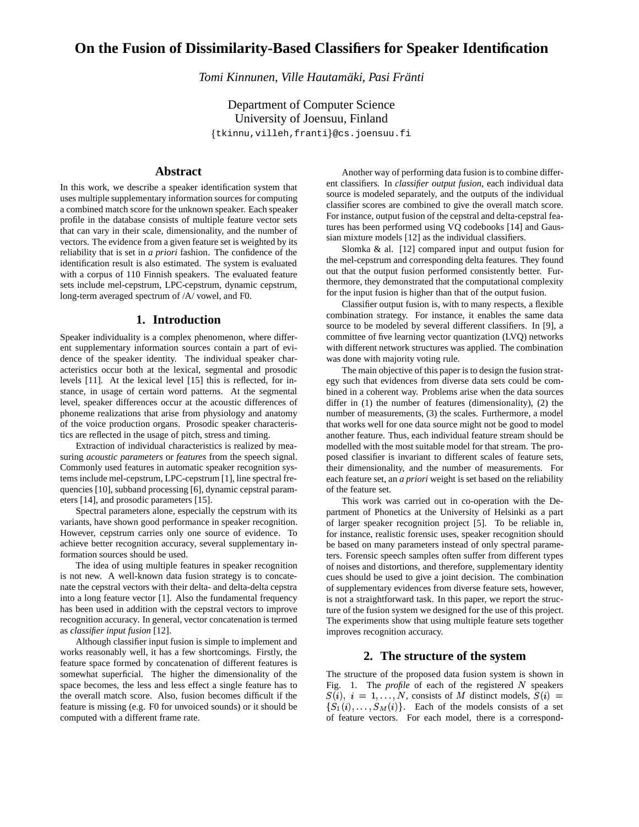# **On the Fusion of Dissimilarity-Based Classifiers for Speaker Identification**

*Tomi Kinnunen, Ville Hautamaki, Pasi Fr ¨ anti ¨*

Department of Computer Science University of Joensuu, Finland

tkinnu,villeh,franti@cs.joensuu.fi

# **Abstract**

In this work, we describe a speaker identification system that uses multiple supplementary information sources for computing a combined match score for the unknown speaker. Each speaker profile in the database consists of multiple feature vector sets that can vary in their scale, dimensionality, and the number of vectors. The evidence from a given feature set is weighted by its reliability that is set in *a priori* fashion. The confidence of the identification result is also estimated. The system is evaluated with a corpus of 110 Finnish speakers. The evaluated feature sets include mel-cepstrum, LPC-cepstrum, dynamic cepstrum, long-term averaged spectrum of /A/ vowel, and F0.

# **1. Introduction**

Speaker individuality is a complex phenomenon, where different supplementary information sources contain a part of evidence of the speaker identity. The individual speaker characteristics occur both at the lexical, segmental and prosodic levels [11]. At the lexical level [15] this is reflected, for instance, in usage of certain word patterns. At the segmental level, speaker differences occur at the acoustic differences of phoneme realizations that arise from physiology and anatomy of the voice production organs. Prosodic speaker characteristics are reflected in the usage of pitch, stress and timing.

Extraction of individual characteristics is realized by measuring *acoustic parameters* or *features* from the speech signal. Commonly used features in automatic speaker recognition systems include mel-cepstrum, LPC-cepstrum [1], line spectral frequencies [10], subband processing [6], dynamic cepstral parameters [14], and prosodic parameters [15].

Spectral parameters alone, especially the cepstrum with its variants, have shown good performance in speaker recognition. However, cepstrum carries only one source of evidence. To achieve better recognition accuracy, several supplementary information sources should be used.

The idea of using multiple features in speaker recognition is not new. A well-known data fusion strategy is to concatenate the cepstral vectors with their delta- and delta-delta cepstra into a long feature vector [1]. Also the fundamental frequency has been used in addition with the cepstral vectors to improve recognition accuracy. In general, vector concatenation is termed as *classifier input fusion* [12].

Although classifier input fusion is simple to implement and works reasonably well, it has a few shortcomings. Firstly, the feature space formed by concatenation of different features is somewhat superficial. The higher the dimensionality of the space becomes, the less and less effect a single feature has to the overall match score. Also, fusion becomes difficult if the feature is missing (e.g. F0 for unvoiced sounds) or it should be computed with a different frame rate.

Another way of performing data fusion is to combine different classifiers. In *classifier output fusion*, each individual data source is modeled separately, and the outputs of the individual classifier scores are combined to give the overall match score. For instance, output fusion of the cepstral and delta-cepstral features has been performed using VQ codebooks [14] and Gaussian mixture models [12] as the individual classifiers.

Slomka & al. [12] compared input and output fusion for the mel-cepstrum and corresponding delta features. They found out that the output fusion performed consistently better. Furthermore, they demonstrated that the computational complexity for the input fusion is higher than that of the output fusion.

Classifier output fusion is, with to many respects, a flexible combination strategy. For instance, it enables the same data source to be modeled by several different classifiers. In [9], a committee of five learning vector quantization (LVQ) networks with different network structures was applied. The combination was done with majority voting rule.

The main objective of this paper is to design the fusion strategy such that evidences from diverse data sets could be combined in a coherent way. Problems arise when the data sources differ in (1) the number of features (dimensionality), (2) the number of measurements, (3) the scales. Furthermore, a model that works well for one data source might not be good to model another feature. Thus, each individual feature stream should be modelled with the most suitable model for that stream. The proposed classifier is invariant to different scales of feature sets, their dimensionality, and the number of measurements. For each feature set, an *a priori* weight is set based on the reliability of the feature set.

This work was carried out in co-operation with the Department of Phonetics at the University of Helsinki as a part of larger speaker recognition project [5]. To be reliable in, for instance, realistic forensic uses, speaker recognition should be based on many parameters instead of only spectral parameters. Forensic speech samples often suffer from different types of noises and distortions, and therefore, supplementary identity cues should be used to give a joint decision. The combination of supplementary evidences from diverse feature sets, however, is not a straightforward task. In this paper, we report the structure of the fusion system we designed for the use of this project. The experiments show that using multiple feature sets together improves recognition accuracy.

# **2. The structure of the system**

The structure of the proposed data fusion system is shown in Fig. 1. The *profile* of each of the registered  $N$  speakers  $S(i), i = 1, \ldots, N$ , consists of M distinct models,  $S(i) =$  $\{S_1(i), \ldots, S_M(i)\}\$ . Each of the models consists of a set of feature vectors. For each model, there is a correspond-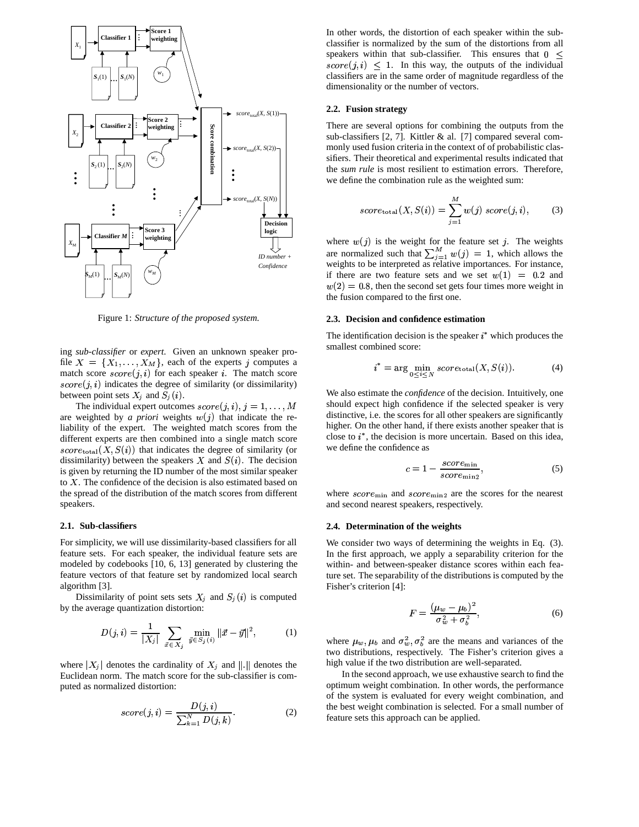

Figure 1: *Structure of the proposed system.*

ing *sub-classifier* or *expert*. Given an unknown speaker profile  $X = \{X_1, \ldots, X_M\}$ , each of the experts j computes a match score  $score(j, i)$  for each speaker i. The match score  $score(j, i)$  indicates the degree of similarity (or dissimilarity) between point sets  $X_i$  and  $S_i(i)$ .

The individual expert outcomes  $score(j, i), j = 1, \ldots, M$  should ex are weighted by *a priori* weights  $w(j)$  that indicate the reliability of the expert. The weighted match scores from the different experts are then combined into a single match score  $score_{total}(X, S(i))$  that indicates the degree of similarity (or dissimilarity) between the speakers  $X$  and  $S(i)$ . The decision is given by returning the ID number of the most similar speaker to  $X$ . The confidence of the decision is also estimated based on the spread of the distribution of the match scores from different speakers.

### **2.1. Sub-classifiers**

For simplicity, we will use dissimilarity-based classifiers for all feature sets. For each speaker, the individual feature sets are modeled by codebooks [10, 6, 13] generated by clustering the feature vectors of that feature set by randomized local search algorithm [3].

Dissimilarity of point sets sets  $X_j$  and  $S_j(i)$  is computed by the average quantization distortion:

$$
D(j,i) = \frac{1}{|X_j|} \sum_{\vec{x} \in X_j} \min_{\vec{y} \in S_j(i)} \|\vec{x} - \vec{y}\|^2, \quad (1)
$$

where  $|X_j|$  denotes the cardinality of  $X_j$  and  $||.||$  denotes the Euclidean norm. The match score for the sub-classifier is computed as normalized distortion:

$$
score(j, i) = \frac{D(j, i)}{\sum_{k=1}^{N} D(j, k)}.
$$
\n(2)

In other words, the distortion of each speaker within the subclassifier is normalized by the sum of the distortions from all speakers within that sub-classifier. This ensures that  $0 \le$  $score(j, i) \leq 1$ . In this way, the outputs of the individual classifiers are in the same order of magnitude regardless of the dimensionality or the number of vectors.

#### **2.2. Fusion strategy**

There are several options for combining the outputs from the sub-classifiers [2, 7]. Kittler & al. [7] compared several commonly used fusion criteria in the context of of probabilistic classifiers. Their theoretical and experimental results indicated that the *sum rule* is most resilient to estimation errors. Therefore, we define the combination rule as the weighted sum:

$$
score_{\text{total}}(X, S(i)) = \sum_{j=1}^{M} w(j) \, score(j, i), \tag{3}
$$

where  $w(j)$  is the weight for the feature set j. The weights are normalized such that  $\sum_{i=1}^{M} w(j) = 1$ , which allows the weights to be interpreted as relative importances. For instance, if there are two feature sets and we set  $w(1) = 0.2$  and  $w(2) = 0.8$ , then the second set gets four times more weight in the fusion compared to the first one.

#### **2.3. Decision and confidence estimation**

The identification decision is the speaker  $i^*$  which produces the smallest combined score:

$$
i^* = \arg\min_{0 \le i \le N} score_{\text{total}}(X, S(i)). \tag{4}
$$

We also estimate the *confidence* of the decision. Intuitively, one should expect high confidence if the selected speaker is very distinctive, i.e. the scores for all other speakers are significantly higher. On the other hand, if there exists another speaker that is close to  $i^*$ , the decision is more uncertain. Based on this idea, we define the confidence as

$$
c = 1 - \frac{score_{\min}}{score_{\min}}\tag{5}
$$

where  $score_{\text{min}}$  and  $score_{\text{min2}}$  are the scores for the nearest and second nearest speakers, respectively.

### **2.4. Determination of the weights**

We consider two ways of determining the weights in Eq.  $(3)$ . In the first approach, we apply a separability criterion for the within- and between-speaker distance scores within each feature set. The separability of the distributions is computed by the Fisher's criterion [4]:

$$
F = \frac{(\mu_w - \mu_b)^2}{\sigma_w^2 + \sigma_b^2},\tag{6}
$$

where  $\mu_w$ ,  $\mu_b$  and  $\sigma_w^2$ ,  $\sigma_b^2$  are the means and variances of the two distributions, respectively. The Fisher's criterion gives a high value if the two distribution are well-separated.

In the second approach, we use exhaustive search to find the optimum weight combination. In other words, the performance of the system is evaluated for every weight combination, and the best weight combination is selected. For a small number of feature sets this approach can be applied.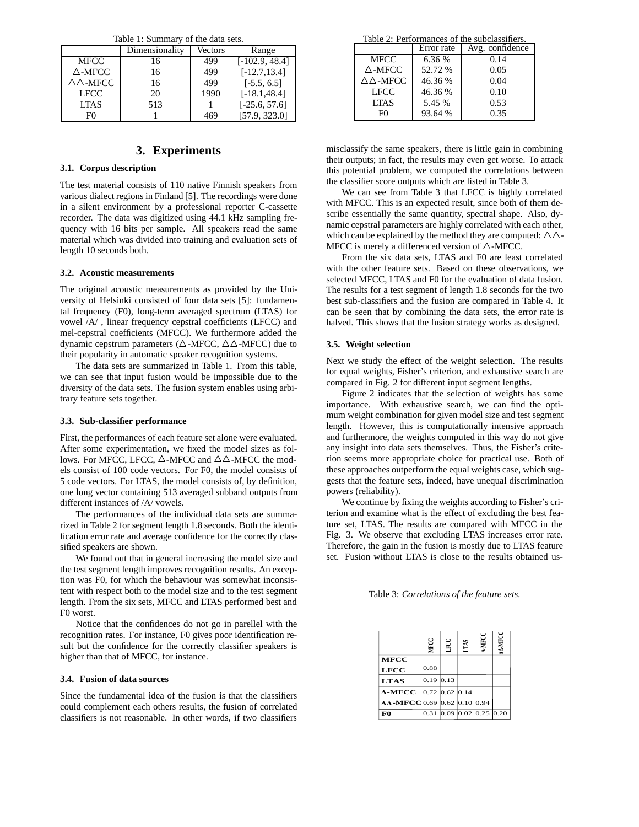Table 1: Summary of the data sets.

| racio 1: Danmar , or allo data boto. |                |         |                  |  |  |  |
|--------------------------------------|----------------|---------|------------------|--|--|--|
|                                      | Dimensionality | Vectors | Range            |  |  |  |
| <b>MFCC</b>                          | 16             | 499     | $[-102.9, 48.4]$ |  |  |  |
| $\triangle$ -MFCC                    | 16             | 499     | $[-12.7, 13.4]$  |  |  |  |
| $\triangle \triangle$ -MFCC          | 16             | 499     | $[-5.5, 6.5]$    |  |  |  |
| <b>LFCC</b>                          | 20             | 1990    | $[-18.1, 48.4]$  |  |  |  |
| <b>LTAS</b>                          | 513            |         | $[-25.6, 57.6]$  |  |  |  |
| F0                                   |                | 469     | [57.9, 323.0]    |  |  |  |
|                                      |                |         |                  |  |  |  |

# **3. Experiments**

## **3.1. Corpus description**

The test material consists of 110 native Finnish speakers from various dialect regions in Finland [5]. The recordings were done in a silent environment by a professional reporter C-cassette recorder. The data was digitized using 44.1 kHz sampling frequency with 16 bits per sample. All speakers read the same material which was divided into training and evaluation sets of length 10 seconds both.

#### **3.2. Acoustic measurements**

The original acoustic measurements as provided by the University of Helsinki consisted of four data sets [5]: fundamental frequency (F0), long-term averaged spectrum (LTAS) for vowel /A/ , linear frequency cepstral coefficients (LFCC) and mel-cepstral coefficients (MFCC). We furthermore added the dynamic cepstrum parameters ( $\triangle$ -MFCC,  $\triangle \triangle$ -MFCC) due to their popularity in automatic speaker recognition systems.

The data sets are summarized in Table 1. From this table, we can see that input fusion would be impossible due to the diversity of the data sets. The fusion system enables using arbitrary feature sets together.

#### **3.3. Sub-classifier performance**

First, the performances of each feature set alone were evaluated. After some experimentation, we fixed the model sizes as follows. For MFCC, LFCC,  $\triangle$ -MFCC and  $\triangle \triangle$ -MFCC the models consist of 100 code vectors. For F0, the model consists of 5 code vectors. For LTAS, the model consists of, by definition, one long vector containing 513 averaged subband outputs from different instances of /A/ vowels.

The performances of the individual data sets are summarized in Table 2 for segment length 1.8 seconds. Both the identification error rate and average confidence for the correctly classified speakers are shown.

We found out that in general increasing the model size and the test segment length improves recognition results. An exception was F0, for which the behaviour was somewhat inconsistent with respect both to the model size and to the test segment length. From the six sets, MFCC and LTAS performed best and F0 worst.

Notice that the confidences do not go in parellel with the recognition rates. For instance, F0 gives poor identification result but the confidence for the correctly classifier speakers is higher than that of MFCC, for instance.

### **3.4. Fusion of data sources**

Since the fundamental idea of the fusion is that the classifiers could complement each others results, the fusion of correlated classifiers is not reasonable. In other words, if two classifiers

Table 2: Performances of the subclassifiers.

| Table 2. I chominances of the subclassifiers. |            |                 |  |  |
|-----------------------------------------------|------------|-----------------|--|--|
|                                               | Error rate | Avg. confidence |  |  |
| <b>MFCC</b>                                   | 6.36 %     | 0.14            |  |  |
| $\triangle$ -MFCC                             | 52.72 %    | 0.05            |  |  |
| $\triangle \triangle$ -MFCC                   | 46.36 %    | 0.04            |  |  |
| LFCC                                          | 46.36 %    | 0.10            |  |  |
| <b>LTAS</b>                                   | 5.45 %     | 0.53            |  |  |
| FO                                            | 93.64 %    | 0.35            |  |  |
|                                               |            |                 |  |  |

misclassify the same speakers, there is little gain in combining their outputs; in fact, the results may even get worse. To attack this potential problem, we computed the correlations between the classifier score outputs which are listed in Table 3.

We can see from Table 3 that LFCC is highly correlated with MFCC. This is an expected result, since both of them describe essentially the same quantity, spectral shape. Also, dynamic cepstral parameters are highly correlated with each other, which can be explained by the method they are computed:  $\Delta \Delta$ -MFCC is merely a differenced version of  $\triangle$ -MFCC.

From the six data sets, LTAS and F0 are least correlated with the other feature sets. Based on these observations, we selected MFCC, LTAS and F0 for the evaluation of data fusion. The results for a test segment of length 1.8 seconds for the two best sub-classifiers and the fusion are compared in Table 4. It can be seen that by combining the data sets, the error rate is halved. This shows that the fusion strategy works as designed.

#### **3.5. Weight selection**

Next we study the effect of the weight selection. The results for equal weights, Fisher's criterion, and exhaustive search are compared in Fig. 2 for different input segment lengths.

Figure 2 indicates that the selection of weights has some importance. With exhaustive search, we can find the optimum weight combination for given model size and test segment length. However, this is computationally intensive approach and furthermore, the weights computed in this way do not give any insight into data sets themselves. Thus, the Fisher's criterion seems more appropriate choice for practical use. Both of these approaches outperform the equal weights case, which suggests that the feature sets, indeed, have unequal discrimination powers (reliability).

We continue by fixing the weights according to Fisher's criterion and examine what is the effect of excluding the best feature set, LTAS. The results are compared with MFCC in the Fig. 3. We observe that excluding LTAS increases error rate. Therefore, the gain in the fusion is mostly due to LTAS feature set. Fusion without LTAS is close to the results obtained us-

Table 3: *Correlations of the feature sets.*

|                                        | <b>MECC</b>      | LIFCC            | LTAS | A-MFCC                      | AA-MFCC |
|----------------------------------------|------------------|------------------|------|-----------------------------|---------|
| <b>MFCC</b>                            |                  |                  |      |                             |         |
| <b>LFCC</b>                            | 0.88             |                  |      |                             |         |
| <b>LTAS</b>                            | $0.19 \,   0.13$ |                  |      |                             |         |
| $\Delta$ -MFCC                         |                  | $0.72$ 0.62 0.14 |      |                             |         |
| $\triangle$ A-MFCC 0.69 0.62 0.10 0.94 |                  |                  |      |                             |         |
| F0                                     | 0.31             |                  |      | $0.09$ $0.02$ $0.25$ $0.20$ |         |